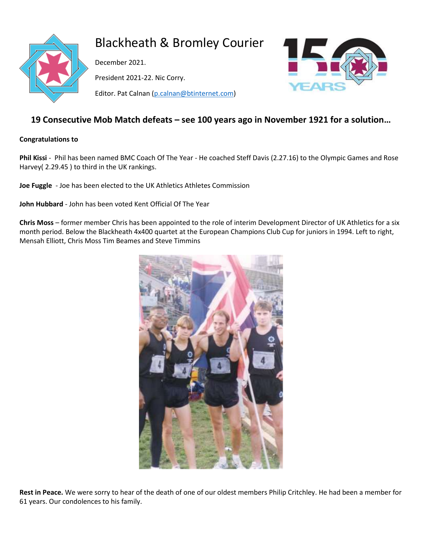

# Blackheath & Bromley Courier

December 2021. President 2021-22. Nic Corry. Editor. Pat Calnan [\(p.calnan@btinternet.com\)](mailto:p.calnan@btinternet.com)



# **19 Consecutive Mob Match defeats – see 100 years ago in November 1921 for a solution…**

## **Congratulations to**

**Phil Kissi** - Phil has been named BMC Coach Of The Year - He coached Steff Davis (2.27.16) to the Olympic Games and Rose Harvey( 2.29.45 ) to third in the UK rankings.

**Joe Fuggle** - Joe has been elected to the UK Athletics Athletes Commission

**John Hubbard** - John has been voted Kent Official Of The Year

**Chris Moss** – former member Chris has been appointed to the role of interim Development Director of UK Athletics for a six month period. Below the Blackheath 4x400 quartet at the European Champions Club Cup for juniors in 1994. Left to right, Mensah Elliott, Chris Moss Tim Beames and Steve Timmins



**Rest in Peace.** We were sorry to hear of the death of one of our oldest members Philip Critchley. He had been a member for 61 years. Our condolences to his family.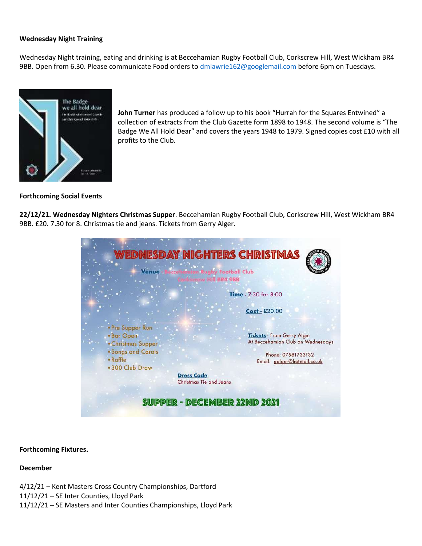## **Wednesday Night Training**

Wednesday Night training, eating and drinking is at Beccehamian Rugby Football Club, Corkscrew Hill, West Wickham BR4 9BB. Open from 6.30. Please communicate Food orders to [dmlawrie162@googlemail.com](mailto:dmlawrie162@googlemail.com) before 6pm on Tuesdays.



**John Turner** has produced a follow up to his book "Hurrah for the Squares Entwined" a collection of extracts from the Club Gazette form 1898 to 1948. The second volume is "The Badge We All Hold Dear" and covers the years 1948 to 1979. Signed copies cost £10 with all profits to the Club.

## **Forthcoming Social Events**

**22/12/21. Wednesday Nighters Christmas Supper**. Beccehamian Rugby Football Club, Corkscrew Hill, West Wickham BR4 9BB. £20. 7.30 for 8. Christmas tie and jeans. Tickets from Gerry Alger.

| Venue                                                                                        | WEDNESDAY NIGHTERS CHRISTMAS<br><b>m Rugby Football Club</b><br><b>Escrew Hill BR4 9BB</b>                                  |
|----------------------------------------------------------------------------------------------|-----------------------------------------------------------------------------------------------------------------------------|
|                                                                                              | Time - 7:30 for 8:00                                                                                                        |
|                                                                                              | $Cost - £20.00$                                                                                                             |
| · Pre Supper Run<br>. Bar Open<br>• Christmas Supper<br>· Songs and Carols<br>$\cdot$ Raffle | <b>Tickets - From Gerry Alger</b><br>At Beccehamian Club on Wednesdays<br>Phone: 07581733132<br>Email: galger@hotmail.co.uk |
| .300 Club Draw<br><b>Dress Code</b><br><b>Christmas Tie and Jeans</b>                        |                                                                                                                             |
| <b>SUPPER - DECEMBER 22ND 2021</b>                                                           |                                                                                                                             |

## **Forthcoming Fixtures.**

## **December**

4/12/21 – Kent Masters Cross Country Championships, Dartford 11/12/21 – SE Inter Counties, Lloyd Park 11/12/21 – SE Masters and Inter Counties Championships, Lloyd Park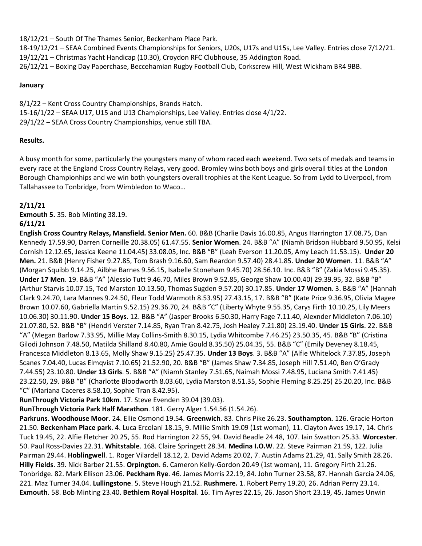18/12/21 – South Of The Thames Senior, Beckenham Place Park.

18-19/12/21 – SEAA Combined Events Championships for Seniors, U20s, U17s and U15s, Lee Valley. Entries close 7/12/21. 19/12/21 – Christmas Yacht Handicap (10.30), Croydon RFC Clubhouse, 35 Addington Road. 26/12/21 – Boxing Day Paperchase, Beccehamian Rugby Football Club, Corkscrew Hill, West Wickham BR4 9BB.

## **January**

8/1/22 – Kent Cross Country Championships, Brands Hatch. 15-16/1/22 – SEAA U17, U15 and U13 Championships, Lee Valley. Entries close 4/1/22. 29/1/22 – SEAA Cross Country Championships, venue still TBA.

## **Results.**

A busy month for some, particularly the youngsters many of whom raced each weekend. Two sets of medals and teams in every race at the England Cross Country Relays, very good. Bromley wins both boys and girls overall titles at the London Borough Championhips and we win both youngsters overall trophies at the Kent League. So from Lydd to Liverpool, from Tallahassee to Tonbridge, from Wimbledon to Waco…

# **2/11/21**

**Exmouth 5.** 35. Bob Minting 38.19.

## **6/11/21**

**English Cross Country Relays, Mansfield. Senior Men.** 60. B&B (Charlie Davis 16.00.85, Angus Harrington 17.08.75, Dan Kennedy 17.59.90, Darren Corneille 20.38.05) 61.47.55. **Senior Women**. 24. B&B "A" (Niamh Bridson Hubbard 9.50.95, Kelsi Cornish 12.12.65, Jessica Keene 11.04.45) 33.08.05, Inc. B&B "B" (Leah Everson 11.20.05, Amy Leach 11.53.15). **Under 20 Men.** 21. B&B (Henry Fisher 9.27.85, Tom Brash 9.16.60, Sam Reardon 9.57.40) 28.41.85. **Under 20 Women**. 11. B&B "A" (Morgan Squibb 9.14.25, Ailbhe Barnes 9.56.15, Isabelle Stoneham 9.45.70) 28.56.10. Inc. B&B "B" (Zakia Mossi 9.45.35). **Under 17 Men**. 19. B&B "A" (Alessio Tutt 9.46.70, Miles Brown 9.52.85, George Shaw 10.00.40) 29.39.95, 32. B&B "B" (Arthur Starvis 10.07.15, Ted Marston 10.13.50, Thomas Sugden 9.57.20) 30.17.85. **Under 17 Women**. 3. B&B "A" (Hannah Clark 9.24.70, Lara Mannes 9.24.50, Fleur Todd Warmoth 8.53.95) 27.43.15, 17. B&B "B" (Kate Price 9.36.95, Olivia Magee Brown 10.07.60, Gabriella Martin 9.52.15) 29.36.70, 24. B&B "C" (Liberty Whyte 9.55.35, Carys Firth 10.10.25, Lily Meers 10.06.30) 30.11.90. **Under 15 Boys**. 12. B&B "A" (Jasper Brooks 6.50.30, Harry Fage 7.11.40, Alexnder Middleton 7.06.10) 21.07.80, 52. B&B "B" (Hendri Verster 7.14.85, Ryan Tran 8.42.75, Josh Healey 7.21.80) 23.19.40. **Under 15 Girls**. 22. B&B "A" (Megan Barlow 7.33.95, Millie May Collins-Smith 8.30.15, Lydia Whitcombe 7.46.25) 23.50.35, 45. B&B "B" (Cristina Gilodi Johnson 7.48.50, Matilda Shilland 8.40.80, Amie Gould 8.35.50) 25.04.35, 55. B&B "C" (Emily Deveney 8.18.45, Francesca Middleton 8.13.65, Molly Shaw 9.15.25) 25.47.35. **Under 13 Boys**. 3. B&B "A" (Alfie Whitelock 7.37.85, Joseph Scanes 7.04.40, Lucas Elmqvist 7.10.65) 21.52.90, 20. B&B "B" (James Shaw 7.34.85, Joseph Hill 7.51.40, Ben O'Grady 7.44.55) 23.10.80. **Under 13 Girls**. 5. B&B "A" (Niamh Stanley 7.51.65, Naimah Mossi 7.48.95, Luciana Smith 7.41.45) 23.22.50, 29. B&B "B" (Charlotte Bloodworth 8.03.60, Lydia Marston 8.51.35, Sophie Fleming 8.25.25) 25.20.20, Inc. B&B "C" (Mariana Caceres 8.58.10, Sophie Tran 8.42.95).

**RunThrough Victoria Park 10km**. 17. Steve Evenden 39.04 (39.03).

**RunThrough Victoria Park Half Marathon**. 181. Gerry Alger 1.54.56 (1.54.26).

**Parkruns. Woodhouse Moor**. 24. Ellie Osmond 19.54. **Greenwich**. 83. Chris Pike 26.23. **Southampton.** 126. Gracie Horton 21.50. **Beckenham Place park**. 4. Luca Ercolani 18.15, 9. Millie Smith 19.09 (1st woman), 11. Clayton Aves 19.17, 14. Chris Tuck 19.45, 22. Alfie Fletcher 20.25, 55. Rod Harrington 22.55, 94. David Beadle 24.48, 107. Iain Swatton 25.33. **Worcester**. 50. Paul Ross-Davies 22.31. **Whitstable**. 168. Claire Springett 28.34. **Medina I.O.W**. 22. Steve Pairman 21.59, 122. Julia Pairman 29.44. **Hoblingwell**. 1. Roger Vilardell 18.12, 2. David Adams 20.02, 7. Austin Adams 21.29, 41. Sally Smith 28.26. **Hilly Fields**. 39. Nick Barber 21.55. **Orpington**. 6. Cameron Kelly-Gordon 20.49 (1st woman), 11. Gregory Firth 21.26. Tonbridge. 82. Mark Ellison 23.06. **Peckham Rye**. 46. James Morris 22.19, 84. John Turner 23.58, 87. Hannah Garcia 24.06, 221. Maz Turner 34.04. **Lullingstone**. 5. Steve Hough 21.52. **Rushmere.** 1. Robert Perry 19.20, 26. Adrian Perry 23.14. **Exmouth**. 58. Bob Minting 23.40. **Bethlem Royal Hospital**. 16. Tim Ayres 22.15, 26. Jason Short 23.19, 45. James Unwin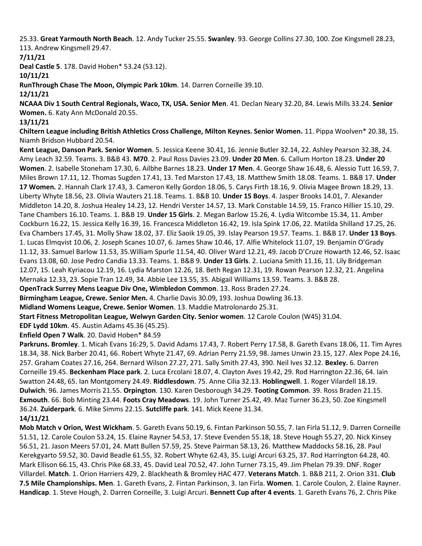25.33. **Great Yarmouth North Beach**. 12. Andy Tucker 25.55. **Swanley**. 93. George Collins 27.30, 100. Zoe Kingsmell 28.23, 113. Andrew Kingsmell 29.47.

# **7/11/21**

**Deal Castle 5**. 178. David Hoben\* 53.24 (53.12).

# **10/11/21**

**RunThrough Chase The Moon, Olympic Park 10km**. 14. Darren Corneille 39.10.

**12/11/21**

**NCAAA Div 1 South Central Regionals, Waco, TX, USA. Senior Men**. 41. Declan Neary 32.20, 84. Lewis Mills 33.24. **Senior Women.** 6. Katy Ann McDonald 20.55.

# **13/11/21**

**Chiltern League including British Athletics Cross Challenge, Milton Keynes. Senior Women.** 11. Pippa Woolven\* 20.38, 15. Niamh Bridson Hubbard 20.54.

**Kent League, Danson Park. Senior Women**. 5. Jessica Keene 30.41, 16. Jennie Butler 32.14, 22. Ashley Pearson 32.38, 24. Amy Leach 32.59. Teams. 3. B&B 43. **M70**. 2. Paul Ross Davies 23.09. **Under 20 Men**. 6. Callum Horton 18.23. **Under 20 Women**. 2. Isabelle Stoneham 17.30, 6. Ailbhe Barnes 18.23. **Under 17 Men**. 4. George Shaw 16.48, 6. Alessio Tutt 16.59, 7. Miles Brown 17.11, 12. Thomas Sugden 17.41, 13. Ted Marston 17.43, 18. Matthew Smith 18.08. Teams. 1. B&B 17. **Under 17 Women.** 2. Hannah Clark 17.43, 3. Cameron Kelly Gordon 18.06, 5. Carys Firth 18.16, 9. Olivia Magee Brown 18.29, 13. Liberty Whyte 18.56, 23. Olivia Wauters 21.18. Teams. 1. B&B 10. **Under 15 Boys**. 4. Jasper Brooks 14.01, 7. Alexander Middleton 14.20, 8. Joshua Healey 14.23, 12. Hendri Verster 14.57, 13. Mark Constable 14.59, 15. Franco Hillier 15.10, 29. Tane Chambers 16.10. Teams. 1. B&B 19. **Under 15 Girls**. 2. Megan Barlow 15.26, 4. Lydia Witcombe 15.34, 11. Amber Cockburn 16.22, 15. Jessica Kelly 16.39, 16. Francesca Middleton 16.42, 19. Isla Spink 17.06, 22. Matilda Shilland 17.25, 26. Eva Chambers 17.45, 31. Molly Shaw 18.02, 37. Eliz Saoik 19.05, 39. Islay Pearson 19.57. Teams. 1. B&B 17. **Under 13 Boys**. 1. Lucas Elmqvist 10.06, 2. Joseph Scanes 10.07, 6. James Shaw 10.46, 17. Alfie Whitelock 11.07, 19. Benjamin O'Grady 11.12, 33. Samuel Barlow 11.53, 35.William Spurle 11.54, 40. Oliver Ward 12.21, 49. Jacob D'Cruze Howarth 12.46, 52. Isaac Evans 13.08, 60. Jose Pedro Candia 13.33. Teams. 1. B&B 9. **Under 13 Girls**. 2. Luciana Smith 11.16, 11. Lily Bridgeman 12.07, 15. Leah Kyriacou 12.19, 16. Lydia Marston 12.26, 18. Beth Regan 12.31, 19. Rowan Pearson 12.32, 21. Angelina Mernaka 12.33, 23. Sopie Tran 12.49, 34. Abbie Lee 13.55, 35. Abigail Williams 13.59. Teams. 3. B&B 28.

**OpenTrack Surrey Mens League Div One, Wimbledon Common**. 13. Ross Braden 27.24.

**Birmingham League, Crewe. Senior Men.** 4. Charlie Davis 30.09, 193. Joshua Dowling 36.13.

**Midland Womens League, Crewe. Senior Women**. 13. Maddie Matrolonardo 25.31.

**Start Fitness Metropolitan League, Welwyn Garden City. Senior women**. 12 Carole Coulon (W45) 31.04.

**EDF Lydd 10km**. 45. Austin Adams 45.36 (45.25).

**Enfield Open 7 Walk**. 20. David Hoben\* 84.59

**Parkruns. Bromley**. 1. Micah Evans 16:29, 5. David Adams 17.43, 7. Robert Perry 17.58, 8. Gareth Evans 18.06, 11. Tim Ayres 18.34, 38. Nick Barber 20.41, 66. Robert Whyte 21.47, 69. Adrian Perry 21.59, 98. James Unwin 23.15, 127. Alex Pope 24.16, 257. Graham Coates 27.16, 264. Bernard Wilson 27.27, 271. Sally Smith 27.43, 390. Neil Ives 32.12. **Bexley.** 6. Darren Corneille 19.45. **Beckenham Place park**. 2. Luca Ercolani 18.07, 4. Clayton Aves 19.42, 29. Rod Harrington 22.36, 64. Iain Swatton 24.48, 65. Ian Montgomery 24.49. **Riddlesdown**. 75. Anne Cilia 32.13. **Hoblingwell**. 1. Roger Vilardell 18.19. **Dulwich**. 96. James Morris 21.55. **Orpington**. 130. Karen Desborough 34.29. **Tooting Common**. 39. Ross Braden 21.15. **Exmouth**. 66. Bob Minting 23.44. **Foots Cray Meadows**. 19. John Turner 25.42, 49. Maz Turner 36.23, 50. Zoe Kingsmell 36.24. **Zuiderpark**. 6. Mike Simms 22.15. **Sutcliffe park**. 141. Mick Keene 31.34. **14/11/21**

**Mob Match v Orion, West Wickham**. 5. Gareth Evans 50.19, 6. Fintan Parkinson 50.55, 7. Ian Firla 51.12, 9. Darren Corneille 51.51, 12. Carole Coulon 53.24, 15. Elaine Rayner 54.53, 17. Steve Evenden 55.18, 18. Steve Hough 55.27, 20. Nick Kinsey 56.51, 21. Jason Meers 57.01, 24. Matt Bullen 57.59, 25. Steve Pairman 58.13, 26. Matthew Maddocks 58.16, 28. Paul Kerekgyarto 59.52, 30. David Beadle 61.55, 32. Robert Whyte 62.43, 35. Luigi Arcuri 63.25, 37. Rod Harrington 64.28, 40. Mark Ellison 66.15, 43. Chris Pike 68.33, 45. David Leal 70.52, 47. John Turner 73.15, 49. Jim Phelan 79.39. DNF. Roger Villardel. **Match**. 1. Orion Harriers 429, 2. Blackheath & Bromley HAC 477. **Veterans Match**. 1. B&B 211, 2. Orion 331. **Club 7.5 Mile Championships. Men**. 1. Gareth Evans, 2. Fintan Parkinson, 3. Ian Firla. **Women**. 1. Carole Coulon, 2. Elaine Rayner. **Handicap**. 1. Steve Hough, 2. Darren Corneille, 3. Luigi Arcuri. **Bennett Cup after 4 events**. 1. Gareth Evans 76, 2. Chris Pike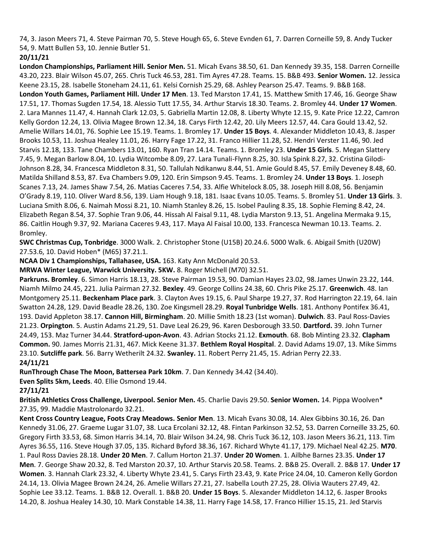74, 3. Jason Meers 71, 4. Steve Pairman 70, 5. Steve Hough 65, 6. Steve Evnden 61, 7. Darren Corneille 59, 8. Andy Tucker 54, 9. Matt Bullen 53, 10. Jennie Butler 51.

# **20/11/21**

**London Championships, Parliament Hill. Senior Men.** 51. Micah Evans 38.50, 61. Dan Kennedy 39.35, 158. Darren Corneille 43.20, 223. Blair Wilson 45.07, 265. Chris Tuck 46.53, 281. Tim Ayres 47.28. Teams. 15. B&B 493. **Senior Women.** 12. Jessica Keene 23.15, 28. Isabelle Stoneham 24.11, 61. Kelsi Cornish 25.29, 68. Ashley Pearson 25.47. Teams. 9. B&B 168. **London Youth Games, Parliament Hill. Under 17 Men**. 13. Ted Marston 17.41, 15. Matthew Smith 17.46, 16. George Shaw 17.51, 17. Thomas Sugden 17.54, 18. Alessio Tutt 17.55, 34. Arthur Starvis 18.30. Teams. 2. Bromley 44. **Under 17 Women**. 2. Lara Mannes 11.47, 4. Hannah Clark 12.03, 5. Gabriella Martin 12.08, 8. Liberty Whyte 12.15, 9. Kate Price 12.22, Camron Kelly Gordon 12.24, 13. Olivia Magee Brown 12.34, 18. Carys Firth 12.42, 20. Lily Meers 12.57, 44. Cara Gould 13.42, 52. Amelie Willars 14.01, 76. Sophie Lee 15.19. Teams. 1. Bromley 17. **Under 15 Boys**. 4. Alexander Middleton 10.43, 8. Jasper Brooks 10.53, 11. Joshua Healey 11.01, 26. Harry Fage 17.22, 31. Franco Hillier 11.28, 52. Hendri Verster 11.46, 90. Jed Starvis 12.18, 133. Tane Chambers 13.01, 160. Ryan Tran 14.14. Teams. 1. Bromley 23. **Under 15 Girls**. 5. Megan Slattery 7.45, 9. Megan Barlow 8.04, 10. Lydia Witcombe 8.09, 27. Lara Tunali-Flynn 8.25, 30. Isla Spink 8.27, 32. Cristina Gilodi-Johnson 8.28, 34. Francesca Middleton 8.31, 50. Tallulah Ndikanwu 8.44, 51. Amie Gould 8.45, 57. Emily Deveney 8.48, 60. Matilda Shilland 8.53, 87. Eva Chambers 9.09, 120. Erin Simpson 9.45. Teams. 1. Bromley 24. **Under 13 Boys**. 1. Joseph Scanes 7.13, 24. James Shaw 7.54, 26. Matias Caceres 7.54, 33. Alfie Whitelock 8.05, 38. Joseph Hill 8.08, 56. Benjamin O'Grady 8.19, 110. Oliver Ward 8.56, 139. Liam Hough 9.18, 181. Isaac Evans 10.05. Teams. 5. Bromley 51. **Under 13 Girls**. 3. Luciana Smith 8.06, 6. Naimah Mossi 8.21, 10. Niamh Stanley 8.26, 15. Isobel Pauling 8.35, 18. Sophie Fleming 8.42, 24. Elizabeth Regan 8.54, 37. Sophie Tran 9.06, 44. Hissah Al Faisal 9.11, 48. Lydia Marston 9.13, 51. Angelina Mermaka 9.15, 86. Caitlin Hough 9.37, 92. Mariana Caceres 9.43, 117. Maya Al Faisal 10.00, 133. Francesca Newman 10.13. Teams. 2. Bromley.

**SWC Christmas Cup, Tonbridge**. 3000 Walk. 2. Christopher Stone (U15B) 20.24.6. 5000 Walk. 6. Abigail Smith (U20W) 27.53.6, 10. David Hoben\* (M65) 37.21.1.

**NCAA Div 1 Championships, Tallahasee, USA.** 163. Katy Ann McDonald 20.53.

**MRWA Winter League, Warwick University. 5KW.** 8. Roger Michell (M70) 32.51.

**Parkruns. Bromley**. 6. Simon Harris 18.13, 28. Steve Pairman 19.53, 90. Damian Hayes 23.02, 98.James Unwin 23.22, 144. Niamh Milmo 24.45, 221. Julia Pairman 27.32. **Bexley**. 49. George Collins 24.38, 60. Chris Pike 25.17. **Greenwich**. 48. Ian Montgomery 25.11. **Beckenham Place park**. 3. Clayton Aves 19.15, 6. Paul Sharpe 19.27, 37. Rod Harrington 22.19, 64. Iain Swatton 24.28, 129. David Beadle 28.26, 130. Zoe Kingsmell 28.29. **Royal Tunbridge Wells**. 181. Anthony Pontifex 36.41, 193. David Appleton 38.17. **Cannon Hill, Birmingham**. 20. Millie Smith 18.23 (1st woman). **Dulwich**. 83. Paul Ross-Davies 21.23. **Orpington**. 5. Austin Adams 21.29, 51. Dave Leal 26.29, 96. Karen Desborough 33.50. **Dartford.** 39. John Turner 24.49, 153. Maz Turner 34.44. **Stratford-upon-Avon**. 43. Adrian Stocks 21.12. **Exmouth**. 68. Bob Minting 23.32. **Clapham Common.** 90. James Morris 21.31, 467. Mick Keene 31.37. **Bethlem Royal Hospital**. 2. David Adams 19.07, 13. Mike Simms 23.10. **Sutcliffe park**. 56. Barry Wetherilt 24.32. **Swanley.** 11. Robert Perry 21.45, 15. Adrian Perry 22.33. **24/11/21**

**RunThrough Chase The Moon, Battersea Park 10km**. 7. Dan Kennedy 34.42 (34.40).

**Even Splits 5km, Leeds**. 40. Ellie Osmond 19.44.

**27/11/21**

**British Athletics Cross Challenge, Liverpool. Senior Men.** 45. Charlie Davis 29.50. **Senior Women.** 14. Pippa Woolven\* 27.35, 99. Maddie Mastrolonardo 32.21.

**Kent Cross Country League, Foots Cray Meadows. Senior Men**. 13. Micah Evans 30.08, 14. Alex Gibbins 30.16, 26. Dan Kennedy 31.06, 27. Graeme Lugar 31.07, 38. Luca Ercolani 32.12, 48. Fintan Parkinson 32.52, 53. Darren Corneille 33.25, 60. Gregory Firth 33.53, 68. Simon Harris 34.14, 70. Blair Wilson 34.24, 98. Chris Tuck 36.12, 103. Jason Meers 36.21, 113. Tim Ayres 36.55, 116. Steve Hough 37.05, 135. Richard Byford 38.36, 167. Richard Whyte 41.17, 179. Michael Neal 42.25. **M70**. 1. Paul Ross Davies 28.18. **Under 20 Men**. 7. Callum Horton 21.37. **Under 20 Women**. 1. Ailbhe Barnes 23.35. **Under 17 Men**. 7. George Shaw 20.32, 8. Ted Marston 20.37, 10. Arthur Starvis 20.58. Teams. 2. B&B 25. Overall. 2. B&B 17. **Under 17 Women**. 3. Hannah Clark 23.32, 4. Liberty Whyte 23.41, 5. Carys Firth 23.43, 9. Kate Price 24.04, 10. Cameron Kelly Gordon 24.14, 13. Olivia Magee Brown 24.24, 26. Amelie Willars 27.21, 27. Isabella Louth 27.25, 28. Olivia Wauters 27.49, 42. Sophie Lee 33.12. Teams. 1. B&B 12. Overall. 1. B&B 20. **Under 15 Boys**. 5. Alexander Middleton 14.12, 6. Jasper Brooks 14.20, 8. Joshua Healey 14.30, 10. Mark Constable 14.38, 11. Harry Fage 14.58, 17. Franco Hillier 15.15, 21. Jed Starvis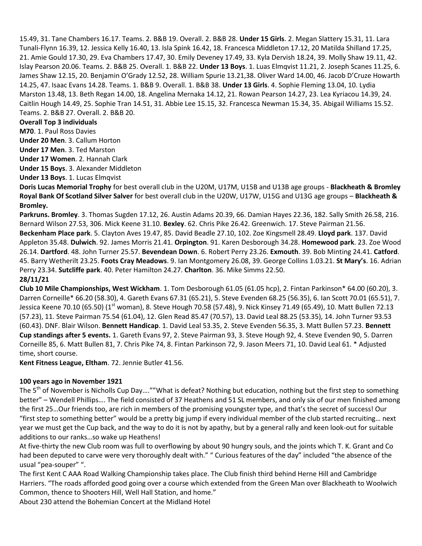15.49, 31. Tane Chambers 16.17. Teams. 2. B&B 19. Overall. 2. B&B 28. **Under 15 Girls**. 2. Megan Slattery 15.31, 11. Lara Tunali-Flynn 16.39, 12. Jessica Kelly 16.40, 13. Isla Spink 16.42, 18. Francesca Middleton 17.12, 20 Matilda Shilland 17.25, 21. Amie Gould 17.30, 29. Eva Chambers 17.47, 30. Emily Deveney 17.49, 33. Kyla Dervish 18.24, 39. Molly Shaw 19.11, 42. Islay Pearson 20.06. Teams. 2. B&B 25. Overall. 1. B&B 22. **Under 13 Boys**. 1. Luas Elmqvist 11.21, 2. Joseph Scanes 11.25, 6. James Shaw 12.15, 20. Benjamin O'Grady 12.52, 28. William Spurie 13.21,38. Oliver Ward 14.00, 46. Jacob D'Cruze Howarth 14.25, 47. Isaac Evans 14.28. Teams. 1. B&B 9. Overall. 1. B&B 38. **Under 13 Girls**. 4. Sophie Fleming 13.04, 10. Lydia Marston 13.48, 13. Beth Regan 14.00, 18. Angelina Mernaka 14.12, 21. Rowan Pearson 14.27, 23. Lea Kyriacou 14.39, 24. Caitlin Hough 14.49, 25. Sophie Tran 14.51, 31. Abbie Lee 15.15, 32. Francesca Newman 15.34, 35. Abigail Williams 15.52. Teams. 2. B&B 27. Overall. 2. B&B 20.

## **Overall Top 3 individuals**

**M70**. 1. Paul Ross Davies

**Under 20 Men**. 3. Callum Horton

**Under 17 Men**. 3. Ted Marston

**Under 17 Women**. 2. Hannah Clark

**Under 15 Boys**. 3. Alexander Middleton

**Under 13 Boys**. 1. Lucas Elmqvist

**Doris Lucas Memorial Trophy** for best overall club in the U20M, U17M, U15B and U13B age groups - **Blackheath & Bromley Royal Bank Of Scotland Silver Salver** for best overall club in the U20W, U17W, U15G and U13G age groups – **Blackheath & Bromley.**

**Parkruns. Bromley**. 3. Thomas Sugden 17.12, 26. Austin Adams 20.39, 66. Damian Hayes 22.36, 182. Sally Smith 26.58, 216. Bernard Wilson 27.53, 306. Mick Keene 31.10. **Bexley**. 62. Chris Pike 26.42. Greenwich. 17. Steve Pairman 21.56. **Beckenham Place park**. 5. Clayton Aves 19.47, 85. David Beadle 27.10, 102. Zoe Kingsmell 28.49. **Lloyd park**. 137. David Appleton 35.48. **Dulwich**. 92. James Morris 21.41. **Orpington**. 91. Karen Desborough 34.28. **Homewood park**. 23. Zoe Wood 26.14. **Dartford**. 48. John Turner 25.57. **Bevendean Down**. 6. Robert Perry 23.26. **Exmouth**. 39. Bob Minting 24.41. **Catford**. 45. Barry Wetherilt 23.25. **Foots Cray Meadows**. 9. Ian Montgomery 26.08, 39. George Collins 1.03.21. **St Mary's**. 16. Adrian Perry 23.34. **Sutcliffe park**. 40. Peter Hamilton 24.27. **Charlton**. 36. Mike Simms 22.50. **28/11/21**

**Club 10 Mile Championships, West Wickham**. 1. Tom Desborough 61.05 (61.05 hcp), 2. Fintan Parkinson\* 64.00 (60.20), 3. Darren Corneille\* 66.20 (58.30), 4. Gareth Evans 67.31 (65.21), 5. Steve Evenden 68.25 (56.35), 6. Ian Scott 70.01 (65.51), 7. Jessica Keene 70.10 (65.50) (1<sup>st</sup> woman), 8. Steve Hough 70.58 (57.48), 9. Nick Kinsey 71.49 (65.49), 10. Matt Bullen 72.13 (57.23), 11. Steve Pairman 75.54 (61.04), 12. Glen Read 85.47 (70.57), 13. David Leal 88.25 (53.35), 14. John Turner 93.53 (60.43). DNF. Blair Wilson. **Bennett Handicap**. 1. David Leal 53.35, 2. Steve Evenden 56.35, 3. Matt Bullen 57.23. **Bennett Cup standings after 5 events.** 1. Gareth Evans 97, 2. Steve Pairman 93, 3. Steve Hough 92, 4. Steve Evenden 90, 5. Darren Corneille 85, 6. Matt Bullen 81, 7. Chris Pike 74, 8. Fintan Parkinson 72, 9. Jason Meers 71, 10. David Leal 61. \* Adjusted time, short course.

**Kent Fitness League, Eltham**. 72. Jennie Butler 41.56.

## **100 years ago in November 1921**

The 5<sup>th</sup> of November is Nicholls Cup Day....""What is defeat? Nothing but education, nothing but the first step to something better" – Wendell Phillips…. The field consisted of 37 Heathens and 51 SL members, and only six of our men finished among the first 25…Our friends too, are rich in members of the promising youngster type, and that's the secret of success! Our "first step to something better" would be a pretty big jump if every individual member of the club started recruiting… next year we must get the Cup back, and the way to do it is not by apathy, but by a general rally and keen look-out for suitable additions to our ranks…so wake up Heathens!

At five-thirty the new Club room was full to overflowing by about 90 hungry souls, and the joints which T. K. Grant and Co had been deputed to carve were very thoroughly dealt with." " Curious features of the day" included "the absence of the usual "pea-souper" ".

The first Kent C AAA Road Walking Championship takes place. The Club finish third behind Herne Hill and Cambridge Harriers. "The roads afforded good going over a course which extended from the Green Man over Blackheath to Woolwich Common, thence to Shooters Hill, Well Hall Station, and home."

About 230 attend the Bohemian Concert at the Midland Hotel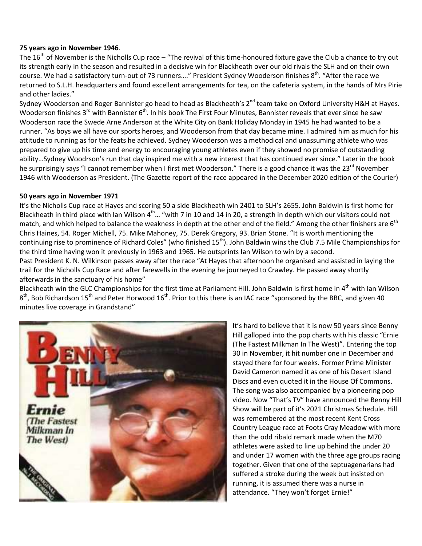## **75 years ago in November 1946**.

The  $16<sup>th</sup>$  of November is the Nicholls Cup race – "The revival of this time-honoured fixture gave the Club a chance to try out its strength early in the season and resulted in a decisive win for Blackheath over our old rivals the SLH and on their own course. We had a satisfactory turn-out of 73 runners...." President Sydney Wooderson finishes 8<sup>th</sup>. "After the race we returned to S.L.H. headquarters and found excellent arrangements for tea, on the cafeteria system, in the hands of Mrs Pirie and other ladies."

Sydney Wooderson and Roger Bannister go head to head as Blackheath's 2<sup>nd</sup> team take on Oxford University H&H at Hayes. Wooderson finishes 3<sup>rd</sup> with Bannister 6<sup>th</sup>. In his book The First Four Minutes, Bannister reveals that ever since he saw Wooderson race the Swede Arne Anderson at the White City on Bank Holiday Monday in 1945 he had wanted to be a runner. "As boys we all have our sports heroes, and Wooderson from that day became mine. I admired him as much for his attitude to running as for the feats he achieved. Sydney Wooderson was a methodical and unassuming athlete who was prepared to give up his time and energy to encouraging young athletes even if they showed no promise of outstanding ability…Sydney Woodrson's run that day inspired me with a new interest that has continued ever since." Later in the book he surprisingly says "I cannot remember when I first met Wooderson." There is a good chance it was the 23<sup>rd</sup> November 1946 with Wooderson as President. (The Gazette report of the race appeared in the December 2020 edition of the Courier)

## **50 years ago in November 1971**

It's the Nicholls Cup race at Hayes and scoring 50 a side Blackheath win 2401 to SLH's 2655. John Baldwin is first home for Blackheath in third place with Ian Wilson  $4^{\text{th}}$ ... "with 7 in 10 and 14 in 20, a strength in depth which our visitors could not match, and which helped to balance the weakness in depth at the other end of the field." Among the other finishers are 6<sup>th</sup> Chris Haines, 54. Roger Michell, 75. Mike Mahoney, 75. Derek Gregory, 93. Brian Stone. "It is worth mentioning the continuing rise to prominence of Richard Coles" (who finished  $15<sup>th</sup>$ ). John Baldwin wins the Club 7.5 Mile Championships for the third time having won it previously in 1963 and 1965. He outsprints Ian Wilson to win by a second.

Past President K. N. Wilkinson passes away after the race "At Hayes that afternoon he organised and assisted in laying the trail for the Nicholls Cup Race and after farewells in the evening he journeyed to Crawley. He passed away shortly afterwards in the sanctuary of his home"

Blackheath win the GLC Championships for the first time at Parliament Hill. John Baldwin is first home in 4<sup>th</sup> with Ian Wilson 8<sup>th</sup>, Bob Richardson 15<sup>th</sup> and Peter Horwood 16<sup>th</sup>. Prior to this there is an IAC race "sponsored by the BBC, and given 40 minutes live coverage in Grandstand"



It's hard to believe that it is now 50 years since Benny Hill galloped into the pop charts with his classic "Ernie (The Fastest Milkman In The West)". Entering the top 30 in November, it hit number one in December and stayed there for four weeks. Former Prime Minister David Cameron named it as one of his Desert Island Discs and even quoted it in the House Of Commons. The song was also accompanied by a pioneering pop video. Now "That's TV" have announced the Benny Hill Show will be part of it's 2021 Christmas Schedule. Hill was remembered at the most recent Kent Cross Country League race at Foots Cray Meadow with more than the odd ribald remark made when the M70 athletes were asked to line up behind the under 20 and under 17 women with the three age groups racing together. Given that one of the septuagenarians had suffered a stroke during the week but insisted on running, it is assumed there was a nurse in attendance. "They won't forget Ernie!"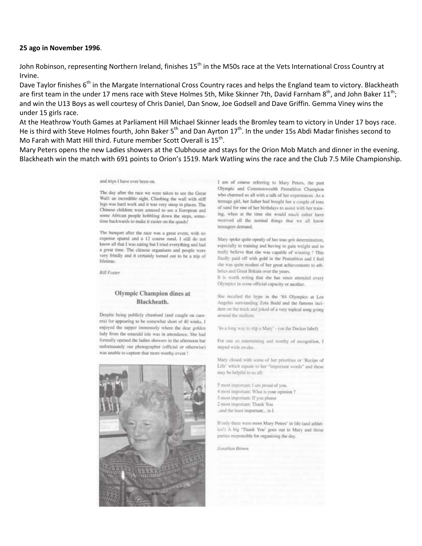#### **25 ago in November 1996**.

John Robinson, representing Northern Ireland, finishes 15<sup>th</sup> in the M50s race at the Vets International Cross Country at Irvine.

Dave Taylor finishes 6<sup>th</sup> in the Margate International Cross Country races and helps the England team to victory. Blackheath are first team in the under 17 mens race with Steve Holmes 5th, Mike Skinner 7th, David Farnham 8<sup>th</sup>, and John Baker 11<sup>th</sup>; and win the U13 Boys as well courtesy of Chris Daniel, Dan Snow, Joe Godsell and Dave Griffin. Gemma Viney wins the under 15 girls race.

At the Heathrow Youth Games at Parliament Hill Michael Skinner leads the Bromley team to victory in Under 17 boys race. He is third with Steve Holmes fourth, John Baker 5<sup>th</sup> and Dan Ayrton 17<sup>th</sup>. In the under 15s Abdi Madar finishes second to Mo Farah with Matt Hill third. Future member Scott Overall is  $15^{th}$ .

Mary Peters opens the new Ladies showers at the Clubhouse and stays for the Orion Mob Match and dinner in the evening. Blackheath win the match with 691 points to Orion's 1519. Mark Watling wins the race and the Club 7.5 Mile Championship.

and trips I have ever been on.

The day after the race we were taken to see the Great Wall: an incredible sight. Climbing the wall with stiff legs was hard work and it was very steep in places. The Chinese children were amused to see a European and some African people hobbling down the steps, sometime backwards to make it easier on the quads!

The banquet after the race was a great event, with no expense spared and a 12 course meal, I still do not know all that I was eating but I tried everything and had a great time. The chinese organisers and people were very frindly and it certainly turned out to be a trip of lifetime.

**Bill Foster** 

### Olympic Champion dines at Blackheath.

Despite being publicly chastised (and caught on camera) for appearing to be somewhat short of 40 winks, I enjoyed the supper immensely where the dear golden lady from the emerald isle was in attendance. She had formally opened the ladies showers in the afternoon but unfortunately our photographer (official or otherwise) was unable to capture that more worthy event !



I am of course referring to Mary Peters, the past Olympic and Commonwealth Pentathlon Champion who charmed us all with a talk of her experiences. As a teenage girl, her father had bought her a couple of tons of sand for one of her birthdays to assist with her training, when at the time she would much rather have received all the normal things that we all know teensores demand

Mary spoke quite openly of her true-grit determination, especially to training and having to gain weight and to really helieve that she was capable of winning 1 This finally paid off with gold in the Pentathlon and I feel the was quite modest of her great achievements to athletics and Great Britain over the years.

It is worth noting that she has since attended every Olympics in some official capacity or another.

She recalled the hype in the '84 Olympics at Los Angeles surrounding Zola Budd and the famous incident on the track and joked of a very topical song going around the studium.

'its a long way to trip a Mary' - (on the Decker label)

For one so entertaining and worthy of recognition, I stayed wide awake.

Mary closed with some of her priorities or 'Recipe of Life" which equate to her "important words" and these may be helpful to us all:

5 most important: I am proud of you. 4 most important: What is your opinion ? 3 most important: If you please 2 most important: Thank You. land the least important... is I.

If only there were more Mary Peters' in life (and athletics!) A big 'Thank You' goes out to Mary and those parties responsible for organising the day.

Jonathan Brown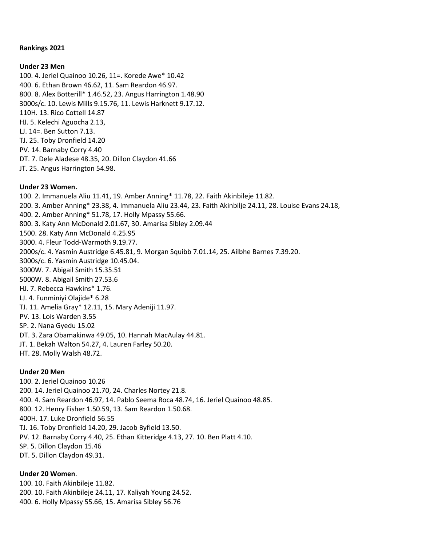### **Rankings 2021**

### **Under 23 Men**

100. 4. Jeriel Quainoo 10.26, 11=. Korede Awe\* 10.42 400. 6. Ethan Brown 46.62, 11. Sam Reardon 46.97. 800. 8. Alex Botterill\* 1.46.52, 23. Angus Harrington 1.48.90 3000s/c. 10. Lewis Mills 9.15.76, 11. Lewis Harknett 9.17.12. 110H. 13. Rico Cottell 14.87 HJ. 5. Kelechi Aguocha 2.13, LJ. 14=. Ben Sutton 7.13. TJ. 25. Toby Dronfield 14.20 PV. 14. Barnaby Corry 4.40 DT. 7. Dele Aladese 48.35, 20. Dillon Claydon 41.66 JT. 25. Angus Harrington 54.98.

### **Under 23 Women.**

100. 2. Immanuela Aliu 11.41, 19. Amber Anning\* 11.78, 22. Faith Akinbileje 11.82. 200. 3. Amber Anning\* 23.38, 4. Immanuela Aliu 23.44, 23. Faith Akinbilje 24.11, 28. Louise Evans 24.18, 400. 2. Amber Anning\* 51.78, 17. Holly Mpassy 55.66. 800. 3. Katy Ann McDonald 2.01.67, 30. Amarisa Sibley 2.09.44 1500. 28. Katy Ann McDonald 4.25.95 3000. 4. Fleur Todd-Warmoth 9.19.77. 2000s/c. 4. Yasmin Austridge 6.45.81, 9. Morgan Squibb 7.01.14, 25. Ailbhe Barnes 7.39.20. 3000s/c. 6. Yasmin Austridge 10.45.04. 3000W. 7. Abigail Smith 15.35.51 5000W. 8. Abigail Smith 27.53.6 HJ. 7. Rebecca Hawkins\* 1.76. LJ. 4. Funminiyi Olajide\* 6.28 TJ. 11. Amelia Gray\* 12.11, 15. Mary Adeniji 11.97. PV. 13. Lois Warden 3.55 SP. 2. Nana Gyedu 15.02 DT. 3. Zara Obamakinwa 49.05, 10. Hannah MacAulay 44.81. JT. 1. Bekah Walton 54.27, 4. Lauren Farley 50.20. HT. 28. Molly Walsh 48.72.

### **Under 20 Men**

100. 2. Jeriel Quainoo 10.26 200. 14. Jeriel Quainoo 21.70, 24. Charles Nortey 21.8. 400. 4. Sam Reardon 46.97, 14. Pablo Seema Roca 48.74, 16. Jeriel Quainoo 48.85. 800. 12. Henry Fisher 1.50.59, 13. Sam Reardon 1.50.68. 400H. 17. Luke Dronfield 56.55 TJ. 16. Toby Dronfield 14.20, 29. Jacob Byfield 13.50. PV. 12. Barnaby Corry 4.40, 25. Ethan Kitteridge 4.13, 27. 10. Ben Platt 4.10. SP. 5. Dillon Claydon 15.46 DT. 5. Dillon Claydon 49.31.

**Under 20 Women**.

100. 10. Faith Akinbileje 11.82. 200. 10. Faith Akinbileje 24.11, 17. Kaliyah Young 24.52. 400. 6. Holly Mpassy 55.66, 15. Amarisa Sibley 56.76